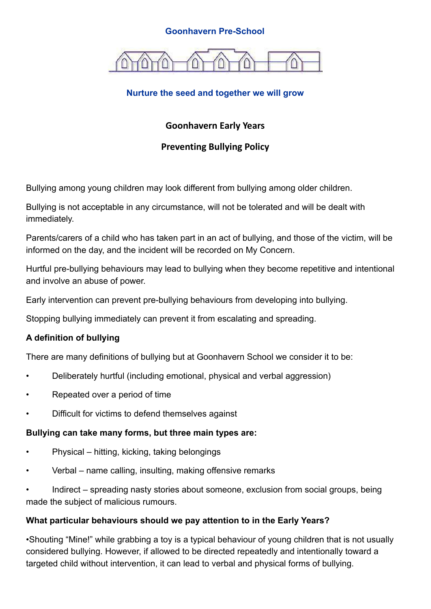#### **Goonhavern Pre-School**



## **Nurture the seed and together we will grow**

# **Goonhavern Early Years**

## **Preventing Bullying Policy**

Bullying among young children may look different from bullying among older children.

Bullying is not acceptable in any circumstance, will not be tolerated and will be dealt with immediately.

Parents/carers of a child who has taken part in an act of bullying, and those of the victim, will be informed on the day, and the incident will be recorded on My Concern.

Hurtful pre-bullying behaviours may lead to bullying when they become repetitive and intentional and involve an abuse of power.

Early intervention can prevent pre-bullying behaviours from developing into bullying.

Stopping bullying immediately can prevent it from escalating and spreading.

### **A definition of bullying**

There are many definitions of bullying but at Goonhavern School we consider it to be:

- Deliberately hurtful (including emotional, physical and verbal aggression)
- Repeated over a period of time
- Difficult for victims to defend themselves against

#### **Bullying can take many forms, but three main types are:**

- Physical hitting, kicking, taking belongings
- Verbal name calling, insulting, making offensive remarks

• Indirect – spreading nasty stories about someone, exclusion from social groups, being made the subject of malicious rumours.

### **What particular behaviours should we pay attention to in the Early Years?**

•Shouting "Mine!" while grabbing a toy is a typical behaviour of young children that is not usually considered bullying. However, if allowed to be directed repeatedly and intentionally toward a targeted child without intervention, it can lead to verbal and physical forms of bullying.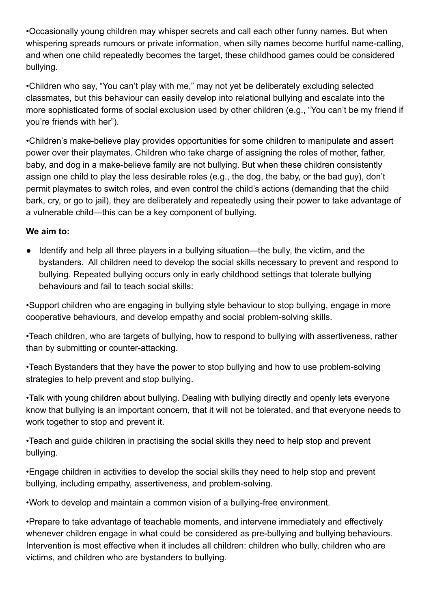•Occasionally young children may whisper secrets and call each other funny names. But when whispering spreads rumours or private information, when silly names become hurtful name-calling, and when one child repeatedly becomes the target, these childhood games could be considered bullying.

•Children who say, "You can't play with me," may not yet be deliberately excluding selected classmates, but this behaviour can easily develop into relational bullying and escalate into the more sophisticated forms of social exclusion used by other children (e.g., "You can't be my friend if you're friends with her").

•Children's make-believe play provides opportunities for some children to manipulate and assert power over their playmates. Children who take charge of assigning the roles of mother, father, baby, and dog in a make-believe family are not bullying. But when these children consistently assign one child to play the less desirable roles (e.g., the dog, the baby, or the bad guy), don't permit playmates to switch roles, and even control the child's actions (demanding that the child bark, cry, or go to jail), they are deliberately and repeatedly using their power to take advantage of a vulnerable child—this can be a key component of bullying.

## **We aim to:**

● Identify and help all three players in a bullying situation—the bully, the victim, and the bystanders. All children need to develop the social skills necessary to prevent and respond to bullying. Repeated bullying occurs only in early childhood settings that tolerate bullying behaviours and fail to teach social skills:

•Support children who are engaging in bullying style behaviour to stop bullying, engage in more cooperative behaviours, and develop empathy and social problem-solving skills.

•Teach children, who are targets of bullying, how to respond to bullying with assertiveness, rather than by submitting or counter-attacking.

•Teach Bystanders that they have the power to stop bullying and how to use problem-solving strategies to help prevent and stop bullying.

•Talk with young children about bullying. Dealing with bullying directly and openly lets everyone know that bullying is an important concern, that it will not be tolerated, and that everyone needs to work together to stop and prevent it.

•Teach and guide children in practising the social skills they need to help stop and prevent bullying.

•Engage children in activities to develop the social skills they need to help stop and prevent bullying, including empathy, assertiveness, and problem-solving.

•Work to develop and maintain a common vision of a bullying-free environment.

•Prepare to take advantage of teachable moments, and intervene immediately and effectively whenever children engage in what could be considered as pre-bullying and bullying behaviours. Intervention is most effective when it includes all children: children who bully, children who are victims, and children who are bystanders to bullying.